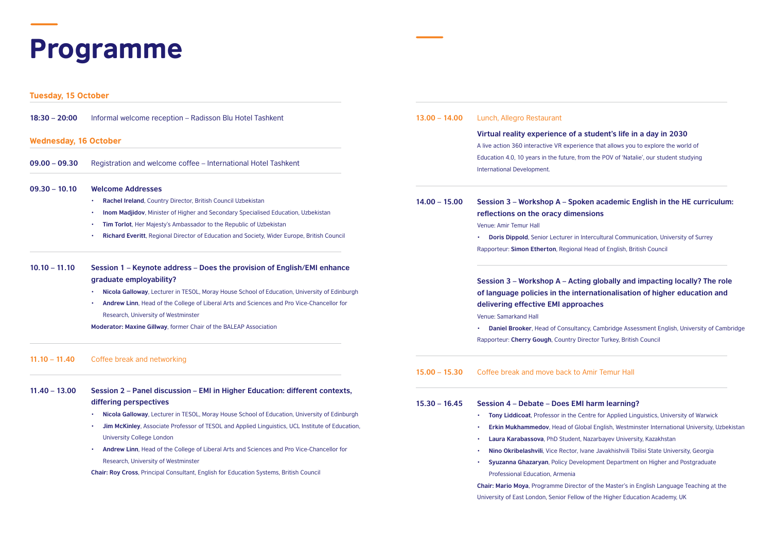# Programme

Tuesday, 15 October

| $18:30 - 20:00$              | Informal welcome reception - Radisson Blu Hotel Tashkent                                        | $13.00 - 14.00$ | Lunch, Allegro Restaurant                                                      |
|------------------------------|-------------------------------------------------------------------------------------------------|-----------------|--------------------------------------------------------------------------------|
| <b>Wednesday, 16 October</b> |                                                                                                 |                 | Virtual reality experience of a :                                              |
|                              |                                                                                                 |                 | A live action 360 interactive VR experier                                      |
| $09.00 - 09.30$              | Registration and welcome coffee – International Hotel Tashkent                                  |                 | Education 4.0, 10 years in the future, fro<br>International Development.       |
| $09.30 - 10.10$              | <b>Welcome Addresses</b>                                                                        |                 |                                                                                |
|                              | Rachel Ireland, Country Director, British Council Uzbekistan                                    | $14.00 - 15.00$ | Session 3 – Workshop A – Spok                                                  |
|                              | Inom Madjidov, Minister of Higher and Secondary Specialised Education, Uzbekistan               |                 | reflections on the oracy dimen                                                 |
|                              | Tim Torlot, Her Majesty's Ambassador to the Republic of Uzbekistan                              |                 | Venue: Amir Temur Hall                                                         |
|                              | Richard Everitt, Regional Director of Education and Society, Wider Europe, British Council      |                 | Doris Dippold, Senior Lecturer in In<br>Rapporteur: Simon Etherton, Regional I |
| $10.10 - 11.10$              | Session 1 – Keynote address – Does the provision of English/EMI enhance                         |                 |                                                                                |
|                              | graduate employability?                                                                         |                 | Session 3 - Workshop A - Actin                                                 |
|                              | Nicola Galloway, Lecturer in TESOL, Moray House School of Education, University of Edinburgh    |                 | of language policies in the inte                                               |
|                              | Andrew Linn, Head of the College of Liberal Arts and Sciences and Pro Vice-Chancellor for       |                 | delivering effective EMI approa                                                |
|                              | Research, University of Westminster                                                             |                 | Venue: Samarkand Hall                                                          |
|                              | Moderator: Maxine Gillway, former Chair of the BALEAP Association                               |                 | Daniel Brooker, Head of Consultand                                             |
|                              |                                                                                                 |                 | Rapporteur: Cherry Gough, Country Dir                                          |
| $11.10 - 11.40$              | Coffee break and networking                                                                     |                 |                                                                                |
|                              |                                                                                                 | $15.00 - 15.30$ | Coffee break and move back to A                                                |
| $11.40 - 13.00$              | Session 2 – Panel discussion – EMI in Higher Education: different contexts,                     |                 |                                                                                |
|                              | differing perspectives                                                                          | $15.30 - 16.45$ | <b>Session 4 – Debate – Does EMI</b>                                           |
|                              | Nicola Galloway, Lecturer in TESOL, Moray House School of Education, University of Edinburgh    |                 | Tony Liddicoat, Professor in the Ce<br>٠                                       |
|                              | Jim McKinley, Associate Professor of TESOL and Applied Linguistics, UCL Institute of Education, |                 | Erkin Mukhammedov, Head of Glob<br>$\bullet$                                   |
|                              | <b>University College London</b>                                                                |                 | Laura Karabassova, PhD Student, N<br>٠                                         |
|                              | Andrew Linn, Head of the College of Liberal Arts and Sciences and Pro Vice-Chancellor for       |                 | Nino Okribelashvili, Vice Rector, Iva<br>٠                                     |
|                              | Research, University of Westminster                                                             |                 | Syuzanna Ghazaryan, Policy Develo                                              |
|                              | Chair: Roy Cross, Principal Consultant, English for Education Systems, British Council          |                 | Professional Education, Armenia                                                |
|                              |                                                                                                 |                 | Chair: Mario Moya, Programme Director                                          |
|                              |                                                                                                 |                 | University of East London, Senior Fellow                                       |

## student's life in a day in 2030

ence that allows you to explore the world of om the POV of 'Natalie', our student studying

## **Seam 2 – Sepand A – Sepanish in the HE curriculum:**  $\frac{1}{2}$ **reflections**

*<u><b>• Intercultural Communication, University of Surrey</u>* **Head of English, British Council** 

## **Sespion 3 – Alle Sepan a – Alle The Sepan a – Alle Tole in the role in the role ernationalisation of higher education and** aches

**Pandiel Brookeral Brookeral Brookeral Brookeral of Cambridge Rapporten Turkey, British Council** 

#### Amir Temur Hall

#### **harm learning?**

- **•• The For Applied Linguistics, University of Warwick**
- **bal English, Westminster International University, Uzbekistan**
- **• Laura Karabassova**, PhD Student, Nazarbayev University, Kazakhstan
- **• Nino Okribelashvili**, Vice Rector, Ivane Javakhishvili Tbilisi State University, Georgia
- **Iopment Department on Higher and Postgraduate**

r of the Master's in English Language Teaching at the University of the Higher Education Academy, UK